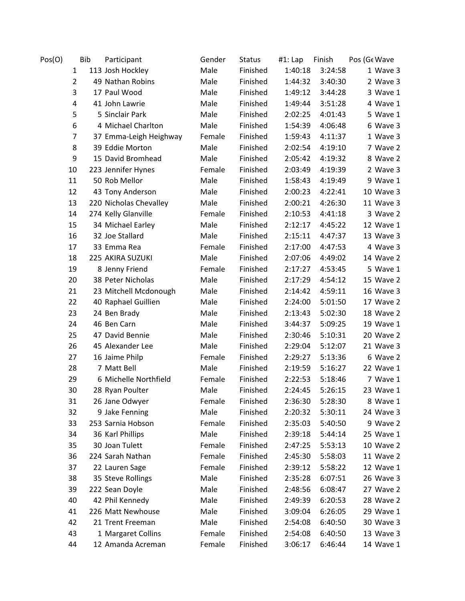| Pos(O) | Bib            |  | Participant            | Gender | <b>Status</b> | #1: Lap | Finish  | Pos (Ge Wave |
|--------|----------------|--|------------------------|--------|---------------|---------|---------|--------------|
|        | 1              |  | 113 Josh Hockley       | Male   | Finished      | 1:40:18 | 3:24:58 | 1 Wave 3     |
|        | $\overline{2}$ |  | 49 Nathan Robins       | Male   | Finished      | 1:44:32 | 3:40:30 | 2 Wave 3     |
|        | 3              |  | 17 Paul Wood           | Male   | Finished      | 1:49:12 | 3:44:28 | 3 Wave 1     |
|        | 4              |  | 41 John Lawrie         | Male   | Finished      | 1:49:44 | 3:51:28 | 4 Wave 1     |
|        | 5              |  | 5 Sinclair Park        | Male   | Finished      | 2:02:25 | 4:01:43 | 5 Wave 1     |
|        | 6              |  | 4 Michael Charlton     | Male   | Finished      | 1:54:39 | 4:06:48 | 6 Wave 3     |
|        | 7              |  | 37 Emma-Leigh Heighway | Female | Finished      | 1:59:43 | 4:11:37 | 1 Wave 3     |
|        | 8              |  | 39 Eddie Morton        | Male   | Finished      | 2:02:54 | 4:19:10 | 7 Wave 2     |
|        | 9              |  | 15 David Bromhead      | Male   | Finished      | 2:05:42 | 4:19:32 | 8 Wave 2     |
|        | 10             |  | 223 Jennifer Hynes     | Female | Finished      | 2:03:49 | 4:19:39 | 2 Wave 3     |
|        | 11             |  | 50 Rob Mellor          | Male   | Finished      | 1:58:43 | 4:19:49 | 9 Wave 1     |
|        | 12             |  | 43 Tony Anderson       | Male   | Finished      | 2:00:23 | 4:22:41 | 10 Wave 3    |
|        | 13             |  | 220 Nicholas Chevalley | Male   | Finished      | 2:00:21 | 4:26:30 | 11 Wave 3    |
|        | 14             |  | 274 Kelly Glanville    | Female | Finished      | 2:10:53 | 4:41:18 | 3 Wave 2     |
|        | 15             |  | 34 Michael Earley      | Male   | Finished      | 2:12:17 | 4:45:22 | 12 Wave 1    |
|        | 16             |  | 32 Joe Stallard        | Male   | Finished      | 2:15:11 | 4:47:37 | 13 Wave 3    |
|        | 17             |  | 33 Emma Rea            | Female | Finished      | 2:17:00 | 4:47:53 | 4 Wave 3     |
|        | 18             |  | 225 AKIRA SUZUKI       | Male   | Finished      | 2:07:06 | 4:49:02 | 14 Wave 2    |
|        | 19             |  | 8 Jenny Friend         | Female | Finished      | 2:17:27 | 4:53:45 | 5 Wave 1     |
|        | 20             |  | 38 Peter Nicholas      | Male   | Finished      | 2:17:29 | 4:54:12 | 15 Wave 2    |
|        | 21             |  | 23 Mitchell Mcdonough  | Male   | Finished      | 2:14:42 | 4:59:11 | 16 Wave 3    |
|        | 22             |  | 40 Raphael Guillien    | Male   | Finished      | 2:24:00 | 5:01:50 | 17 Wave 2    |
|        | 23             |  | 24 Ben Brady           | Male   | Finished      | 2:13:43 | 5:02:30 | 18 Wave 2    |
|        | 24             |  | 46 Ben Carn            | Male   | Finished      | 3:44:37 | 5:09:25 | 19 Wave 1    |
|        | 25             |  | 47 David Bennie        | Male   | Finished      | 2:30:46 | 5:10:31 | 20 Wave 2    |
|        | 26             |  | 45 Alexander Lee       | Male   | Finished      | 2:29:04 | 5:12:07 | 21 Wave 3    |
|        | 27             |  | 16 Jaime Philp         | Female | Finished      | 2:29:27 | 5:13:36 | 6 Wave 2     |
|        | 28             |  | 7 Matt Bell            | Male   | Finished      | 2:19:59 | 5:16:27 | 22 Wave 1    |
|        | 29             |  | 6 Michelle Northfield  | Female | Finished      | 2:22:53 | 5:18:46 | 7 Wave 1     |
|        | 30             |  | 28 Ryan Poulter        | Male   | Finished      | 2:24:45 | 5:26:15 | 23 Wave 1    |
|        | 31             |  | 26 Jane Odwyer         | Female | Finished      | 2:36:30 | 5:28:30 | 8 Wave 1     |
|        | 32             |  | 9 Jake Fenning         | Male   | Finished      | 2:20:32 | 5:30:11 | 24 Wave 3    |
|        | 33             |  | 253 Sarnia Hobson      | Female | Finished      | 2:35:03 | 5:40:50 | 9 Wave 2     |
|        | 34             |  | 36 Karl Phillips       | Male   | Finished      | 2:39:18 | 5:44:14 | 25 Wave 1    |
|        | 35             |  | 30 Joan Tulett         | Female | Finished      | 2:47:25 | 5:53:13 | 10 Wave 2    |
|        | 36             |  | 224 Sarah Nathan       | Female | Finished      | 2:45:30 | 5:58:03 | 11 Wave 2    |
|        | 37             |  | 22 Lauren Sage         | Female | Finished      | 2:39:12 | 5:58:22 | 12 Wave 1    |
|        | 38             |  | 35 Steve Rollings      | Male   | Finished      | 2:35:28 | 6:07:51 | 26 Wave 3    |
|        | 39             |  | 222 Sean Doyle         | Male   | Finished      | 2:48:56 | 6:08:47 | 27 Wave 2    |
|        | 40             |  | 42 Phil Kennedy        | Male   | Finished      | 2:49:39 | 6:20:53 | 28 Wave 2    |
|        | 41             |  | 226 Matt Newhouse      | Male   | Finished      | 3:09:04 | 6:26:05 | 29 Wave 1    |
|        | 42             |  | 21 Trent Freeman       | Male   | Finished      | 2:54:08 | 6:40:50 | 30 Wave 3    |
|        | 43             |  | 1 Margaret Collins     | Female | Finished      | 2:54:08 | 6:40:50 | 13 Wave 3    |
|        | 44             |  | 12 Amanda Acreman      | Female | Finished      | 3:06:17 | 6:46:44 | 14 Wave 1    |